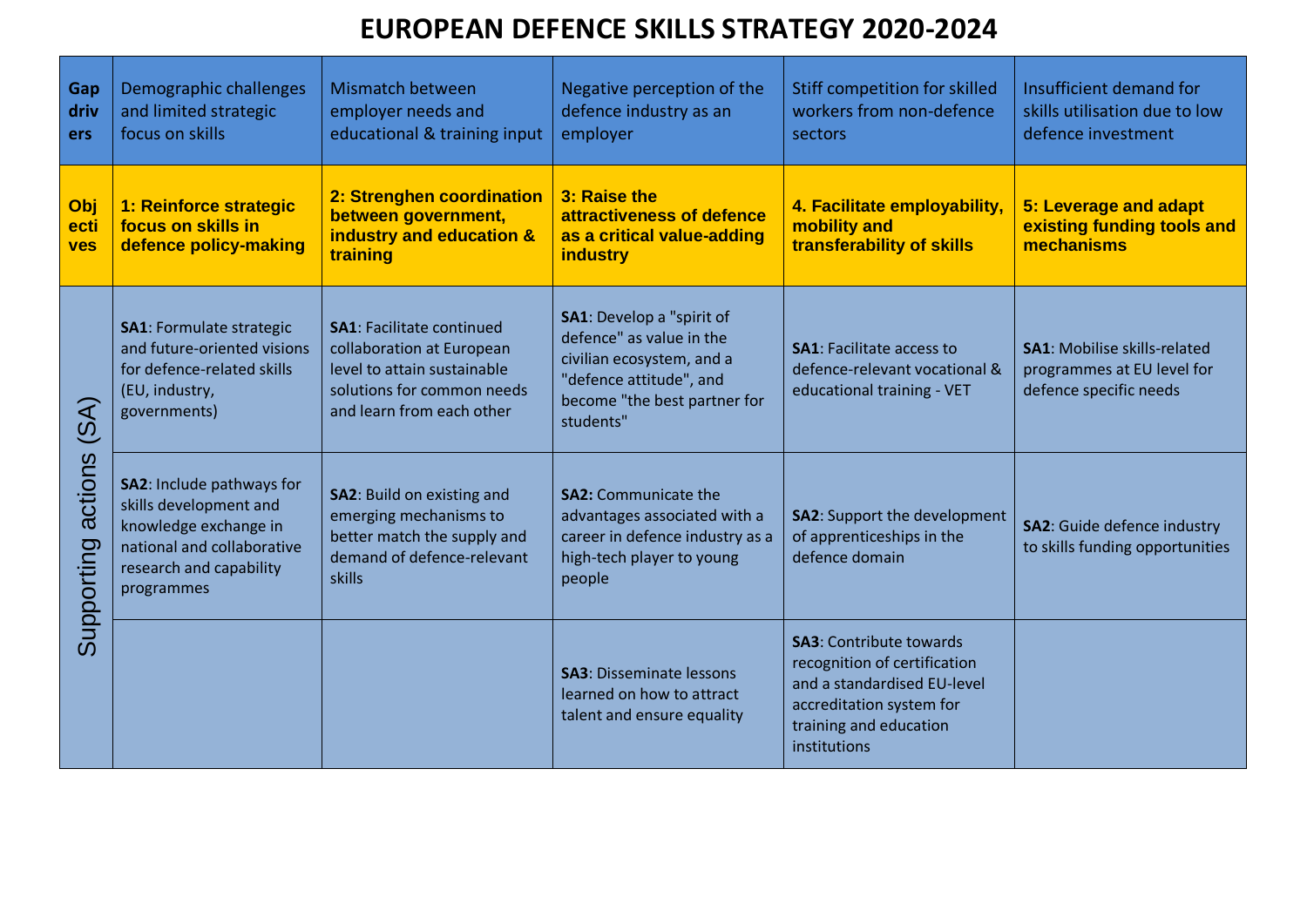## **EUROPEAN DEFENCE SKILLS STRATEGY 2020-2024**

| Gap<br>driv<br><b>ers</b>                                               | Demographic challenges<br>and limited strategic<br>focus on skills                                                                                  | Mismatch between<br>employer needs and<br>educational & training input                                                                                  | Negative perception of the<br>defence industry as an<br>employer                                                                                           | Stiff competition for skilled<br>workers from non-defence<br>sectors                                                                                                | Insufficient demand for<br>skills utilisation due to low<br>defence investment              |
|-------------------------------------------------------------------------|-----------------------------------------------------------------------------------------------------------------------------------------------------|---------------------------------------------------------------------------------------------------------------------------------------------------------|------------------------------------------------------------------------------------------------------------------------------------------------------------|---------------------------------------------------------------------------------------------------------------------------------------------------------------------|---------------------------------------------------------------------------------------------|
| Obj<br>ecti<br>ves                                                      | 1: Reinforce strategic<br>focus on skills in<br>defence policy-making                                                                               | 2: Strenghen coordination<br>between government,<br>industry and education &<br>training                                                                | 3: Raise the<br>attractiveness of defence<br>as a critical value-adding<br><b>industry</b>                                                                 | 4. Facilitate employability,<br>mobility and<br>transferability of skills                                                                                           | 5: Leverage and adapt<br>existing funding tools and<br>mechanisms                           |
| $\widehat{\mathcal{X}}$<br>$\overline{\omega}$<br>actions<br>Supporting | <b>SA1: Formulate strategic</b><br>and future-oriented visions<br>for defence-related skills<br>(EU, industry,<br>governments)                      | <b>SA1: Facilitate continued</b><br>collaboration at European<br>level to attain sustainable<br>solutions for common needs<br>and learn from each other | SA1: Develop a "spirit of<br>defence" as value in the<br>civilian ecosystem, and a<br>"defence attitude", and<br>become "the best partner for<br>students" | <b>SA1: Facilitate access to</b><br>defence-relevant vocational &<br>educational training - VET                                                                     | <b>SA1: Mobilise skills-related</b><br>programmes at EU level for<br>defence specific needs |
|                                                                         | SA2: Include pathways for<br>skills development and<br>knowledge exchange in<br>national and collaborative<br>research and capability<br>programmes | SA2: Build on existing and<br>emerging mechanisms to<br>better match the supply and<br>demand of defence-relevant<br>skills                             | <b>SA2: Communicate the</b><br>advantages associated with a<br>career in defence industry as a<br>high-tech player to young<br>people                      | <b>SA2: Support the development</b><br>of apprenticeships in the<br>defence domain                                                                                  | <b>SA2:</b> Guide defence industry<br>to skills funding opportunities                       |
|                                                                         |                                                                                                                                                     |                                                                                                                                                         | <b>SA3</b> : Disseminate lessons<br>learned on how to attract<br>talent and ensure equality                                                                | <b>SA3: Contribute towards</b><br>recognition of certification<br>and a standardised EU-level<br>accreditation system for<br>training and education<br>institutions |                                                                                             |